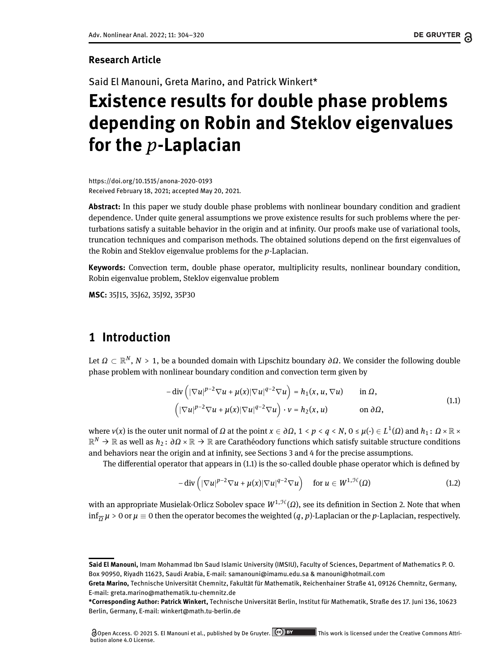#### **Research Article**

Said El Manouni, Greta Marino, and Patrick Winkert\*

# **Existence results for double phase problems depending on Robin and Steklov eigenvalues for the** *p***-Laplacian**

<https://doi.org/10.1515/anona-2020-0193> Received February 18, 2021; accepted May 20, 2021.

**Abstract:** In this paper we study double phase problems with nonlinear boundary condition and gradient dependence. Under quite general assumptions we prove existence results for such problems where the perturbations satisfy a suitable behavior in the origin and at infinity. Our proofs make use of variational tools, truncation techniques and comparison methods. The obtained solutions depend on the first eigenvalues of the Robin and Steklov eigenvalue problems for the *p*-Laplacian.

**Keywords:** Convection term, double phase operator, multiplicity results, nonlinear boundary condition, Robin eigenvalue problem, Steklov eigenvalue problem

**MSC:** 35J15, 35J62, 35J92, 35P30

# **1 Introduction**

Let *Ω* ⊂ R *N* , *N* > 1, be a bounded domain with Lipschitz boundary *∂Ω*. We consider the following double phase problem with nonlinear boundary condition and convection term given by

<span id="page-0-0"></span>
$$
-\operatorname{div}\left(|\nabla u|^{p-2}\nabla u + \mu(x)|\nabla u|^{q-2}\nabla u\right) = h_1(x, u, \nabla u) \qquad \text{in } \Omega,
$$
  

$$
\left(|\nabla u|^{p-2}\nabla u + \mu(x)|\nabla u|^{q-2}\nabla u\right) \cdot v = h_2(x, u) \qquad \text{on } \partial\Omega,
$$
 (1.1)

where  $v(x)$  is the outer unit normal of  $\Omega$  at the point  $x\in\partial\Omega$ ,  $1\le p\le q\le N$ ,  $0\le \mu(\cdot)\in L^1(\Omega)$  and  $h_1\colon \Omega\times\mathbb{R}\times\mathbb{R}$ R *<sup>N</sup>* → R as well as *h*<sup>2</sup> : *∂Ω* × R → R are Carathéodory functions which satisfy suitable structure conditions and behaviors near the origin and at infinity, see Sections [3](#page-6-0) and [4](#page-9-0) for the precise assumptions.

The differential operator that appears in  $(1.1)$  is the so-called double phase operator which is defined by

<span id="page-0-1"></span>
$$
-\operatorname{div}\left(|\nabla u|^{p-2}\nabla u+\mu(x)|\nabla u|^{q-2}\nabla u\right)\quad\text{for }u\in W^{1,\mathcal{H}}(\Omega)\tag{1.2}
$$

with an appropriate Musielak-Orlicz Sobolev space  $W^{1, \mathcal{H}}(Ω)$ , see its definition in Section [2.](#page-2-0) Note that when  $\inf_{\overline{\Omega}}\mu>0$  or  $\mu\equiv 0$  then the operator becomes the weighted  $(q,p)$ -Laplacian or the  $p$ -Laplacian, respectively.

**Said El Manouni,** Imam Mohammad Ibn Saud Islamic University (IMSIU), Faculty of Sciences, Department of Mathematics P. O. Box 90950, Riyadh 11623, Saudi Arabia, E-mail: samanouni@imamu.edu.sa & manouni@hotmail.com

**Greta Marino,** Technische Universität Chemnitz, Fakultät für Mathematik, Reichenhainer Straße 41, 09126 Chemnitz, Germany, E-mail: greta.marino@mathematik.tu-chemnitz.de

**<sup>\*</sup>Corresponding Author: Patrick Winkert,** Technische Universität Berlin, Institut für Mathematik, Straße des 17. Juni 136, 10623 Berlin, Germany, E-mail: winkert@math.tu-berlin.de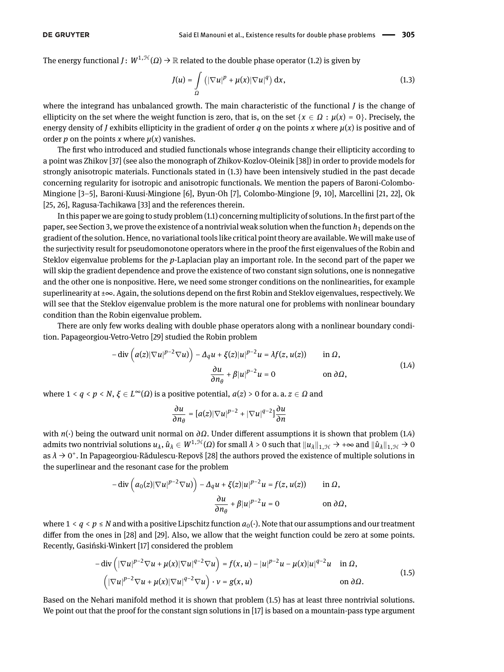The energy functional *J*:  $W^{1,\mathcal{H}}(\Omega) \to \mathbb{R}$  related to the double phase operator [\(1.2\)](#page-0-1) is given by

<span id="page-1-0"></span>
$$
J(u) = \int_{\Omega} \left( |\nabla u|^p + \mu(x) |\nabla u|^q \right) dx, \tag{1.3}
$$

where the integrand has unbalanced growth. The main characteristic of the functional *J* is the change of ellipticity on the set where the weight function is zero, that is, on the set  $\{x \in \Omega : \mu(x) = 0\}$ . Precisely, the energy density of *J* exhibits ellipticity in the gradient of order *q* on the points *x* where  $\mu(x)$  is positive and of order *p* on the points *x* where  $\mu(x)$  vanishes.

The first who introduced and studied functionals whose integrands change their ellipticity according to a point was Zhikov [\[37\]](#page-16-1) (see also the monograph of Zhikov-Kozlov-Oleinik [\[38\]](#page-16-2)) in order to provide models for strongly anisotropic materials. Functionals stated in [\(1.3\)](#page-1-0) have been intensively studied in the past decade concerning regularity for isotropic and anisotropic functionals. We mention the papers of Baroni-Colombo-Mingione [\[3–](#page-15-0)[5\]](#page-15-1), Baroni-Kuusi-Mingione [\[6\]](#page-15-2), Byun-Oh [\[7\]](#page-15-3), Colombo-Mingione [\[9,](#page-15-4) [10\]](#page-15-5), Marcellini [\[21,](#page-16-3) [22\]](#page-16-4), Ok [\[25,](#page-16-5) [26\]](#page-16-6), Ragusa-Tachikawa [\[33\]](#page-16-7) and the references therein.

In this paper we are going to study problem  $(1.1)$  concerning multiplicity of solutions. In the first part of the paper, see Section [3,](#page-6-0) we prove the existence of a nontrivial weak solution when the function  $h_1$  depends on the gradient of the solution. Hence, no variational tools like critical point theory are available. We will make use of the surjectivity result for pseudomonotone operators where in the proof the first eigenvalues of the Robin and Steklov eigenvalue problems for the *p*-Laplacian play an important role. In the second part of the paper we will skip the gradient dependence and prove the existence of two constant sign solutions, one is nonnegative and the other one is nonpositive. Here, we need some stronger conditions on the nonlinearities, for example superlinearity at ±∞. Again, the solutions depend on the first Robin and Steklov eigenvalues, respectively. We will see that the Steklov eigenvalue problem is the more natural one for problems with nonlinear boundary condition than the Robin eigenvalue problem.

There are only few works dealing with double phase operators along with a nonlinear boundary condition. Papageorgiou-Vetro-Vetro [\[29\]](#page-16-8) studied the Robin problem

$$
-\operatorname{div}\left(a(z)|\nabla u|^{p-2}\nabla u\right) - \Delta_q u + \xi(z)|u|^{p-2}u = \lambda f(z, u(z)) \quad \text{in } \Omega,
$$
  

$$
\frac{\partial u}{\partial n_\theta} + \beta |u|^{p-2}u = 0 \quad \text{on } \partial \Omega,
$$
 (1.4)

where  $1 < q < p < N$ ,  $\xi \in L^{\infty}(\Omega)$  is a positive potential,  $a(z) > 0$  for a. a.  $z \in \Omega$  and

<span id="page-1-1"></span>
$$
\frac{\partial u}{\partial n_\theta} = [a(z)|\nabla u|^{p-2} + |\nabla u|^{q-2}]\frac{\partial u}{\partial n}
$$

with *n*(·) being the outward unit normal on *∂Ω*. Under different assumptions it is shown that problem [\(1.4\)](#page-1-1) admits two nontrivial solutions  $u_\lambda$ ,  $\hat{u}_\lambda\in W^{1,\mathfrak{H}}(\Omega)$  for small  $\lambda>0$  such that  $\|u_\lambda\|_{1,\mathfrak{H}}\to +\infty$  and  $\|\hat{u}_\lambda\|_{1,\mathfrak{H}}\to 0$ as  $λ$  → 0<sup>+</sup>. In Papageorgiou-Rădulescu-Repovš [\[28\]](#page-16-9) the authors proved the existence of multiple solutions in the superlinear and the resonant case for the problem

<span id="page-1-2"></span>
$$
-\operatorname{div}\left(a_0(z)|\nabla u|^{p-2}\nabla u\right)-\Delta_q u+\xi(z)|u|^{p-2}u=f(z,u(z))\qquad\text{in }\Omega,
$$

$$
\frac{\partial u}{\partial n_\theta}+\beta|u|^{p-2}u=0\qquad\text{on }\partial\Omega,
$$

where  $1 < q < p \le N$  and with a positive Lipschitz function  $a_0(\cdot)$ . Note that our assumptions and our treatment differ from the ones in  $[28]$  and  $[29]$ . Also, we allow that the weight function could be zero at some points. Recently, Gasiński-Winkert [\[17\]](#page-15-6) considered the problem

$$
-\operatorname{div}\left(|\nabla u|^{p-2}\nabla u + \mu(x)|\nabla u|^{q-2}\nabla u\right) = f(x, u) - |u|^{p-2}u - \mu(x)|u|^{q-2}u \quad \text{in } \Omega,
$$
  

$$
\left(|\nabla u|^{p-2}\nabla u + \mu(x)|\nabla u|^{q-2}\nabla u\right) \cdot v = g(x, u) \qquad \text{on } \partial\Omega.
$$
 (1.5)

Based on the Nehari manifold method it is shown that problem [\(1.5\)](#page-1-2) has at least three nontrivial solutions. We point out that the proof for the constant sign solutions in [\[17\]](#page-15-6) is based on a mountain-pass type argument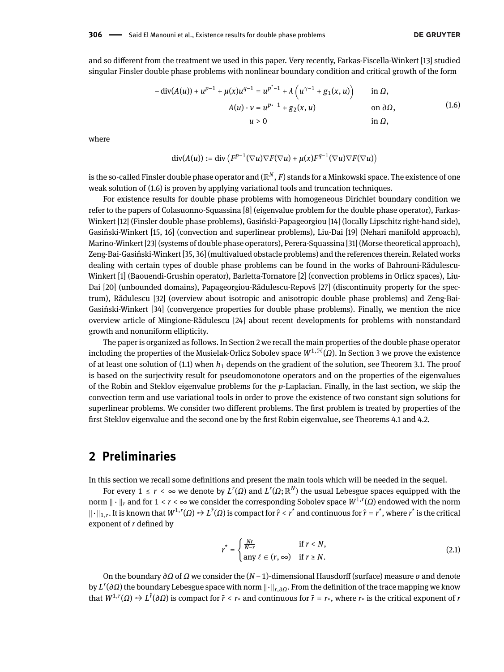and so different from the treatment we used in this paper. Very recently, Farkas-Fiscella-Winkert [\[13\]](#page-15-7) studied singular Finsler double phase problems with nonlinear boundary condition and critical growth of the form

$$
- \operatorname{div}(A(u)) + u^{p-1} + \mu(x)u^{q-1} = u^{p^*-1} + \lambda \left( u^{\gamma-1} + g_1(x, u) \right) \quad \text{in } \Omega,
$$
  
 
$$
A(u) \cdot v = u^{p-1} + g_2(x, u) \quad \text{on } \partial \Omega,
$$
  
 
$$
u > 0 \quad \text{in } \Omega,
$$
 (1.6)

where

<span id="page-2-1"></span>
$$
\operatorname{div}(A(u)) := \operatorname{div} \left( F^{p-1}(\nabla u) \nabla F(\nabla u) + \mu(x) F^{q-1}(\nabla u) \nabla F(\nabla u) \right)
$$

is the so-called Finsler double phase operator and  $(\mathbb{R}^N,F)$  stands for a Minkowski space. The existence of one weak solution of [\(1.6\)](#page-2-1) is proven by applying variational tools and truncation techniques.

For existence results for double phase problems with homogeneous Dirichlet boundary condition we refer to the papers of Colasuonno-Squassina [\[8\]](#page-15-8) (eigenvalue problem for the double phase operator), Farkas-Winkert [\[12\]](#page-15-9) (Finsler double phase problems), Gasiński-Papageorgiou [\[14\]](#page-15-10) (locally Lipschitz right-hand side), Gasiński-Winkert [\[15,](#page-15-11) [16\]](#page-15-12) (convection and superlinear problems), Liu-Dai [\[19\]](#page-15-13) (Nehari manifold approach), Marino-Winkert [\[23\]](#page-16-10) (systems of double phase operators), Perera-Squassina [\[31\]](#page-16-11) (Morse theoretical approach), Zeng-Bai-Gasiński-Winkert [\[35,](#page-16-12) [36\]](#page-16-13) (multivalued obstacle problems) and the references therein. Related works dealing with certain types of double phase problems can be found in the works of Bahrouni-Rădulescu-Winkert [\[1\]](#page-15-14) (Baouendi-Grushin operator), Barletta-Tornatore [\[2\]](#page-15-15) (convection problems in Orlicz spaces), Liu-Dai [\[20\]](#page-15-16) (unbounded domains), Papageorgiou-Rădulescu-Repovš [\[27\]](#page-16-14) (discontinuity property for the spectrum), Rădulescu [\[32\]](#page-16-15) (overview about isotropic and anisotropic double phase problems) and Zeng-Bai-Gasiński-Winkert [\[34\]](#page-16-16) (convergence properties for double phase problems). Finally, we mention the nice overview article of Mingione-Rădulescu [\[24\]](#page-16-17) about recent developments for problems with nonstandard growth and nonuniform ellipticity.

The paper is organized as follows. In Section [2](#page-2-0) we recall the main properties of the double phase operator including the properties of the Musielak-Orlicz Sobolev space  $W^{1, \mathcal{H}}(Ω)$ . In Section [3](#page-6-0) we prove the existence of at least one solution of  $(1.1)$  when  $h_1$  depends on the gradient of the solution, see Theorem [3.1.](#page-7-0) The proof is based on the surjectivity result for pseudomonotone operators and on the properties of the eigenvalues of the Robin and Steklov eigenvalue problems for the *p*-Laplacian. Finally, in the last section, we skip the convection term and use variational tools in order to prove the existence of two constant sign solutions for superlinear problems. We consider two different problems. The first problem is treated by properties of the first Steklov eigenvalue and the second one by the first Robin eigenvalue, see Theorems [4.1](#page-10-0) and [4.2.](#page-13-0)

#### <span id="page-2-0"></span>**2 Preliminaries**

In this section we recall some denitions and present the main tools which will be needed in the sequel.

For every  $1 \leq r \leq \infty$  we denote by  $L^r(\Omega)$  and  $L^r(\Omega;\mathbb{R}^N)$  the usual Lebesgue spaces equipped with the norm <sup>k</sup> · <sup>k</sup>*<sup>r</sup>* and for 1 < *r* < ∞ we consider the corresponding Sobolev space *W*1,*<sup>r</sup>* (*Ω*) endowed with the norm  $\|\cdot\|_{1,r}$ . It is known that  $W^{1,r}(\Omega) \to L^{\hat{r}}(\Omega)$  is compact for  $\hat{r} < r^*$  and continuous for  $\hat{r} = r^*$ , where  $r^*$  is the critical exponent of *r* defined by

<span id="page-2-2"></span>
$$
r^* = \begin{cases} \frac{Nr}{N-r} & \text{if } r < N, \\ \text{any } \ell \in (r, \infty) & \text{if } r \ge N. \end{cases} \tag{2.1}
$$

On the boundary *∂Ω* of *Ω* we consider the (*N* − 1)-dimensional Hausdorff (surface) measure *σ* and denote by *L'* (∂*Ω*) the boundary Lebesgue space with norm  $\|\cdot\|_{r,\partial\Omega}$ . From the definition of the trace mapping we know that  $W^{1,r}(\Omega) \to L^{\tilde{r}}(\partial \Omega)$  is compact for  $\tilde{r} < r_*$  and continuous for  $\tilde{r} = r_*$ , where  $r_*$  is the critical exponent of *r*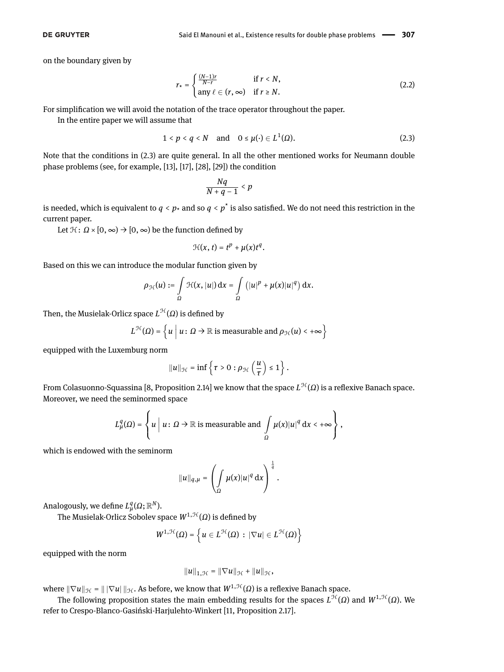on the boundary given by

$$
r_{\star} = \begin{cases} \frac{(N-1)r}{N-r} & \text{if } r < N, \\ \text{any } \ell \in (r, \infty) & \text{if } r \ge N. \end{cases} \tag{2.2}
$$

For simplication we will avoid the notation of the trace operator throughout the paper.

In the entire paper we will assume that

$$
1 < p < q < N \quad \text{and} \quad 0 \le \mu(\cdot) \in L^1(\Omega). \tag{2.3}
$$

Note that the conditions in [\(2.3\)](#page-3-0) are quite general. In all the other mentioned works for Neumann double phase problems (see, for example, [\[13\]](#page-15-7), [\[17\]](#page-15-6), [\[28\]](#page-16-9), [\[29\]](#page-16-8)) the condition

<span id="page-3-1"></span><span id="page-3-0"></span>
$$
\frac{Nq}{N+q-1}
$$

is needed, which is equivalent to  $q < p_*$  and so  $q < p^*$  is also satisfied. We do not need this restriction in the current paper.

Let  $\mathcal{H}$ :  $\Omega \times [0, \infty) \rightarrow [0, \infty)$  be the function defined by

$$
\mathcal{H}(x, t) = t^p + \mu(x)t^q.
$$

Based on this we can introduce the modular function given by

$$
\rho_{\mathcal{H}}(u) := \int\limits_{\Omega} \mathcal{H}(x, |u|) dx = \int\limits_{\Omega} (|u|^p + \mu(x)|u|^q) dx.
$$

Then, the Musielak-Orlicz space  $L^{\mathfrak{H}}(\varOmega)$  is defined by

$$
L^{\mathcal{H}}(\Omega) = \left\{ u \mid u \colon \Omega \to \mathbb{R} \text{ is measurable and } \rho_{\mathcal{H}}(u) < +\infty \right\}
$$

equipped with the Luxemburg norm

$$
||u||_{\mathcal{H}} = \inf \left\{ \tau > 0 : \rho_{\mathcal{H}}\left(\frac{u}{\tau}\right) \leq 1 \right\}.
$$

From Colasuonno-Squassina [\[8,](#page-15-8) Proposition 2.14] we know that the space  $L^{\mathfrak{H}}(\Omega)$  is a reflexive Banach space. Moreover, we need the seminormed space

$$
L^q_\mu(\Omega) = \left\{ u \mid u \colon \Omega \to \mathbb{R} \text{ is measurable and } \int\limits_\Omega \mu(x) |u|^q \, \mathrm{d}x < +\infty \right\},
$$

which is endowed with the seminorm

$$
||u||_{q,\mu} = \left(\int_{\Omega} \mu(x)|u|^q \, \mathrm{d}x\right)^{\frac{1}{q}}.
$$

Analogously, we define  $L^q_{\mu}(\Omega;\mathbb{R}^N)$ .

The Musielak-Orlicz Sobolev space  $W^{1,\mathcal{H}}(\Omega)$  is defined by

$$
W^{1,\mathcal{H}}(\Omega)=\left\{u\in L^{\mathcal{H}}(\Omega)\,:\,|\nabla u|\in L^{\mathcal{H}}(\Omega)\right\}
$$

equipped with the norm

$$
||u||_{1,\mathcal{H}} = ||\nabla u||_{\mathcal{H}} + ||u||_{\mathcal{H}},
$$

where  $\|\nabla u\|_{\mathcal{H}} = \|\nabla u\|_{\mathcal{H}}$ . As before, we know that  $W^{1,\mathcal{H}}(\Omega)$  is a reflexive Banach space.

The following proposition states the main embedding results for the spaces  $L^{\mathfrak{H}}(\Omega)$  and  $W^{1,\mathfrak{H}}(\Omega)$ . We refer to Crespo-Blanco-Gasiński-Harjulehto-Winkert [\[11,](#page-15-17) Proposition 2.17].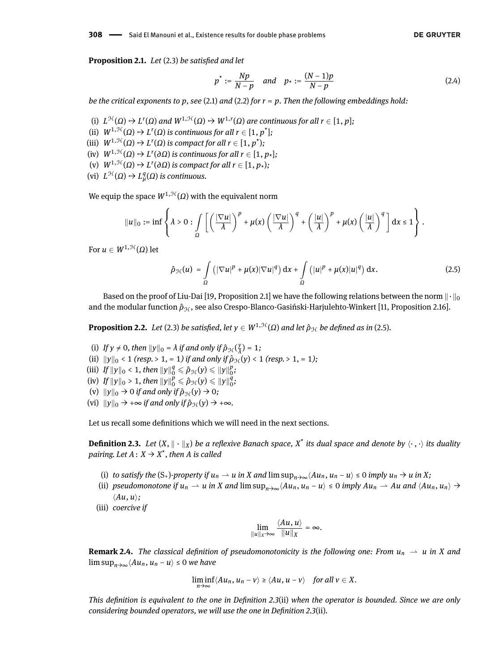<span id="page-4-3"></span>**Proposition 2.1.** *Let* [\(2.3\)](#page-3-0) *be satisfied and let* 

<span id="page-4-2"></span>
$$
p^* := \frac{Np}{N-p}
$$
 and  $p_* := \frac{(N-1)p}{N-p}$  (2.4)

*be the critical exponents to p, see* [\(2.1\)](#page-2-2) *and* [\(2.2\)](#page-3-1) *for r* = *p. Then the following embeddings hold:*

- (i)  $L^{\mathcal{H}}(\Omega) \hookrightarrow L^{r}(\Omega)$  and  $W^{1,\mathcal{H}}(\Omega) \hookrightarrow W^{1,r}(\Omega)$  are continuous for all  $r \in [1, p]$ ;
- (ii)  $W^{1, \mathcal{H}}(\Omega) \rightarrow L^{r}(\Omega)$  is continuous for all  $r \in [1, p^{\star}]$ ;
- (iii)  $W^{1,\mathcal{H}}(\Omega) \rightarrow L^{r}(\Omega)$  *is compact for all*  $r \in [1, p^{\star})$ ;
- $(W^1, H^1(\Omega) \to L^r(\partial \Omega)$  *is continuous for all*  $r \in [1, p_*];$
- $(V)$   $W^{1, \mathcal{H}}(\Omega) \rightarrow L^{r}(\partial \Omega)$  *is compact for all*  $r \in [1, p_{*})$ ;
- $\mathcal{L}^{\mathcal{H}}(\Omega) \hookrightarrow L_{\mu}^{q}(\Omega)$  *is continuous.*

We equip the space  $W^{1,\mathcal{H}}(Ω)$  with the equivalent norm

$$
||u||_0 := \inf \left\{\lambda > 0 : \int\limits_{\Omega} \left[ \left( \frac{|\nabla u|}{\lambda} \right)^p + \mu(x) \left( \frac{|\nabla u|}{\lambda} \right)^q + \left( \frac{|u|}{\lambda} \right)^p + \mu(x) \left( \frac{|u|}{\lambda} \right)^q \right] dx \leq 1 \right\}.
$$

For  $u \in W^{1, \mathcal{H}}(\Omega)$  let

<span id="page-4-0"></span>
$$
\hat{\rho}_{\mathcal{H}}(u) = \int_{\Omega} \left( |\nabla u|^p + \mu(x) |\nabla u|^q \right) dx + \int_{\Omega} \left( |u|^p + \mu(x) |u|^q \right) dx. \tag{2.5}
$$

Based on the proof of Liu-Dai [\[19,](#page-15-13) Proposition 2.1] we have the following relations between the norm  $\|\cdot\|_0$ and the modular function  $ρ_{\mathcal{H}}$ , see also Crespo-Blanco-Gasiński-Harjulehto-Winkert [\[11,](#page-15-17) Proposition 2.16].

<span id="page-4-4"></span>**Proposition 2.2.** *Let* [\(2.3\)](#page-3-0) *be satisfied, let*  $y \in W^{1, \mathcal{H}}(\Omega)$  *and let*  $\hat{\rho}_{\mathcal{H}}$  *be defined as in* [\(2.5\)](#page-4-0)*.* 

- (i) If  $y \neq 0$ , then  $||y||_0 = \lambda$  if and only if  $\hat{p}_{\mathcal{H}}(\frac{y}{\lambda}) = 1$ ;
- (ii)  $||y||_0 < 1$  *(resp.* > 1*,* = 1*) if and only if*  $\hat{p}_{H}(y) < 1$  *(resp.* > 1*,* = 1*)*;
- (iii) *If*  $||y||_0 < 1$ , then  $||y||_0^q \le \hat{\rho}_{\mathcal{H}}(y) \le ||y||_0^p$ ;
- (iv) *If*  $||y||_0 > 1$ , then  $||y||_0^p \le \hat{\rho}_{\mathcal{H}}(y) \le ||y||_0^q$ ;
- (v)  $||y||_0 \rightarrow 0$  *if and only if*  $\hat{\rho}_{\mathcal{H}}(y) \rightarrow 0$ *;*
- (vi)  $\|y\|_0 \to +\infty$  *if and only if*  $\hat{p}_H(y) \to +\infty$ *.*

Let us recall some definitions which we will need in the next sections.

<span id="page-4-1"></span>**Definition 2.3.** Let  $(X, \| \cdot \|_X)$  be a reflexive Banach space,  $X^*$  its dual space and denote by  $\langle \cdot, \cdot \rangle$  its duality *pairing. Let*  $A: X \rightarrow X^*$  *, then A is called* 

- (i) to satisfy the  $(S_+)$ -property if  $u_n \rightharpoonup u$  in X and  $\limsup_{n \to \infty} \langle Au_n, u_n u \rangle \le 0$  imply  $u_n \rightharpoonup u$  in X;
- (ii) pseudomonotone if  $u_n \rightharpoonup u$  in X and  $\limsup_{n\to\infty} \langle Au_n, u_n u \rangle \leq 0$  imply  $Au_n \rightharpoonup Au$  and  $\langle Au_n, u_n \rangle \rightharpoonup$  $\langle Au, u \rangle$ ;
- (iii) *coercive if*

$$
\lim_{\|u\|_X\to\infty}\frac{\langle Au, u\rangle}{\|u\|_X}=\infty.
$$

**Remark 2.4.** *The classical definition of pseudomonotonicity is the following one: From*  $u_n \rightharpoonup u$  *in X and* lim sup<sub>*n*→∞</sub> $\langle Au_n, u_n - u \rangle$  ≤ 0 *we have* 

$$
\liminf_{n\to\infty}\langle Au_n, u_n-v\rangle\geq \langle Au, u-v\rangle \quad \text{for all } v\in X.
$$

*This definition is equivalent to the one in Definition* [2.3](#page-4-1)(ii) when the operator is bounded. Since we are only *considering bounded operators, we will use the one in Definition [2.3](#page-4-1)(ii).*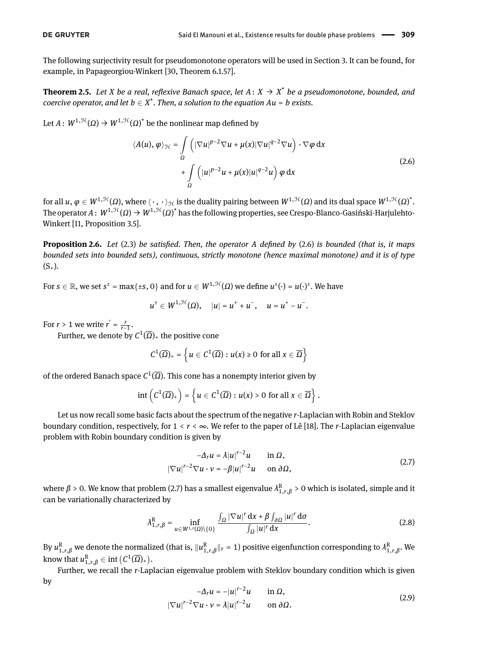The following surjectivity result for pseudomonotone operators will be used in Section [3.](#page-6-0) It can be found, for example, in Papageorgiou-Winkert [\[30,](#page-16-18) Theorem 6.1.57].

<span id="page-5-5"></span>**Theorem 2.5.** *Let X be a real, reflexive Banach space, let*  $A: X \rightarrow X^*$  *be a pseudomonotone, bounded, and coercive operator, and let*  $b \in X^*$ . Then, a solution to the equation  $Au = b$  exists.

Let  $A\colon W^{1,\mathcal{H}}(\varOmega)\to W^{1,\mathcal{H}}(\varOmega)^*$  be the nonlinear map defined by

<span id="page-5-0"></span>
$$
\langle A(u), \varphi \rangle_{\mathcal{H}} = \int_{\Omega} \left( |\nabla u|^{p-2} \nabla u + \mu(x) |\nabla u|^{q-2} \nabla u \right) \cdot \nabla \varphi \, dx
$$
  
+ 
$$
\int_{\Omega} \left( |u|^{p-2} u + \mu(x) |u|^{q-2} u \right) \varphi \, dx
$$
 (2.6)

for all  $u,\varphi\in W^{1,\mathcal{H}}(\varOmega),$  where  $\langle\,\cdot\,,\,\cdot\,\rangle_{\mathcal{H}}$  is the duality pairing between  $W^{1,\mathcal{H}}(\varOmega)$  and its dual space  $W^{1,\mathcal{H}}(\varOmega)^{\star}.$ The operator  $A\colon W^{1,\mathcal{H}}(\Omega)\to W^{1,\mathcal{H}}(\Omega)^*$  has the following properties, see Crespo-Blanco-Gasiński-Harjulehto-Winkert [\[11,](#page-15-17) Proposition 3.5].

<span id="page-5-3"></span>**Proposition 2.6.** *Let* [\(2.3\)](#page-3-0) *be satised. Then, the operator A dened by* [\(2.6\)](#page-5-0) *is bounded (that is, it maps bounded sets into bounded sets), continuous, strictly monotone (hence maximal monotone) and it is of type*  $(S_{+})$ .

For  $s \in \mathbb{R}$ , we set  $s^{\pm} = \max\{\pm s, 0\}$  and for  $u \in W^{1,\mathcal{H}}(\Omega)$  we define  $u^{\pm}(\cdot) = u(\cdot)^{\pm}$ . We have

$$
u^{\pm} \in W^{1, \mathcal{H}}(\Omega), \quad |u| = u^+ + u^-, \quad u = u^+ - u^-.
$$

For *r* > 1 we write  $r' = \frac{r}{r-1}$ .

Further, we denote by  $C^1(\overline{\Omega})_+$  the positive cone

$$
C^1(\overline{\Omega})_+ = \left\{ u \in C^1(\overline{\Omega}) : u(x) \geq 0 \text{ for all } x \in \overline{\Omega} \right\}
$$

of the ordered Banach space  $C^1(\overline{\Omega}).$  This cone has a nonempty interior given by

$$
\mathrm{int}\left(C^1(\overline{\Omega})_+\right)=\left\{u\in C^1(\overline{\Omega}):u(x)>0\,\,\text{for all}\,x\in\overline{\Omega}\right\}.
$$

Let us now recall some basic facts about the spectrum of the negative *r*-Laplacian with Robin and Steklov boundary condition, respectively, for 1 < *r* < ∞. We refer to the paper of Lê [\[18\]](#page-15-18). The *r*-Laplacian eigenvalue problem with Robin boundary condition is given by

<span id="page-5-1"></span>
$$
-\Delta_r u = \lambda |u|^{r-2}u \quad \text{in } \Omega,
$$
  

$$
|\nabla u|^{r-2} \nabla u \cdot v = -\beta |u|^{r-2}u \quad \text{on } \partial \Omega,
$$
 (2.7)

where  $\beta > 0.$  We know that problem [\(2.7\)](#page-5-1) has a smallest eigenvalue  $\lambda^{\rm R}_{1,r,\beta}>0$  which is isolated, simple and it can be variationally characterized by

<span id="page-5-4"></span>
$$
\lambda_{1,r,\beta}^{R} = \inf_{u \in W^{1,r}(\Omega) \setminus \{0\}} \frac{\int_{\Omega} |\nabla u|^r \, dx + \beta \int_{\partial \Omega} |u|^r \, d\sigma}{\int_{\Omega} |u|^r \, dx}.
$$
 (2.8)

By  $u_{1,r,\beta}^R$  we denote the normalized (that is,  $||u_{1,r,\beta}^R||_r = 1$ ) positive eigenfunction corresponding to  $\lambda_{1,r,\beta}^R$ . We know that  $u_{1,r,\beta}^{\mathbb{R}} \in \text{int}\left(C^1(\overline{\Omega})+\right)$ .

<span id="page-5-2"></span>Further, we recall the *r*-Laplacian eigenvalue problem with Steklov boundary condition which is given by

$$
-\Delta_r u = -|u|^{r-2}u \quad \text{in } \Omega,
$$
  

$$
|\nabla u|^{r-2} \nabla u \cdot v = \lambda |u|^{r-2}u \quad \text{on } \partial \Omega.
$$
 (2.9)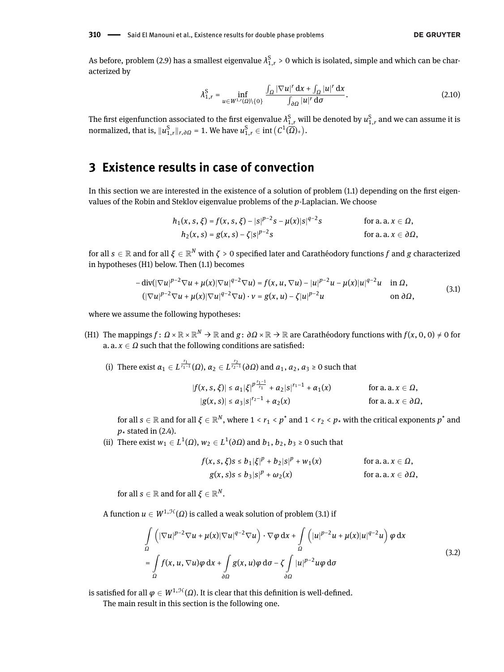<span id="page-6-3"></span>As before, problem [\(2.9\)](#page-5-2) has a smallest eigenvalue  $\lambda_{1,r}^S > 0$  which is isolated, simple and which can be characterized by

$$
\lambda_{1,r}^{\mathcal{S}} = \inf_{u \in W^{1,r}(\Omega) \setminus \{0\}} \frac{\int_{\Omega} |\nabla u|^r \, \mathrm{d}x + \int_{\Omega} |u|^r \, \mathrm{d}x}{\int_{\partial \Omega} |u|^r \, \mathrm{d}\sigma}.
$$

The first eigenfunction associated to the first eigenvalue  $\lambda_{1,r}^\text{S}$  will be denoted by  $u_{1,r}^\text{S}$  and we can assume it is normalized, that is,  $\|u_{1,r}^{\mathrm{S}}\|_{r,\partial\Omega}$  = 1. We have  $u_{1,r}^{\mathrm{S}}\in \mathrm{int}\left(C^1(\overline{\Omega})_+\right)$ .

# <span id="page-6-0"></span>**3 Existence results in case of convection**

In this section we are interested in the existence of a solution of problem  $(1.1)$  depending on the first eigenvalues of the Robin and Steklov eigenvalue problems of the *p*-Laplacian. We choose

<span id="page-6-1"></span>
$$
h_1(x, s, \xi) = f(x, s, \xi) - |s|^{p-2} s - \mu(x)|s|^{q-2} s \qquad \text{for a. a. } x \in \Omega, h_2(x, s) = g(x, s) - \zeta |s|^{p-2} s \qquad \text{for a. a. } x \in \partial\Omega,
$$

for all  $s\in\mathbb{R}$  and for all  $\zeta\in\mathbb{R}^N$  with  $\zeta>0$  specified later and Carathéodory functions  $f$  and  $g$  characterized in hypotheses (H1) below. Then [\(1.1\)](#page-0-0) becomes

$$
-\operatorname{div}(|\nabla u|^{p-2}\nabla u + \mu(x)|\nabla u|^{q-2}\nabla u) = f(x, u, \nabla u) - |u|^{p-2}u - \mu(x)|u|^{q-2}u \quad \text{in } \Omega,
$$
  

$$
(|\nabla u|^{p-2}\nabla u + \mu(x)|\nabla u|^{q-2}\nabla u) \cdot v = g(x, u) - \zeta|u|^{p-2}u \quad \text{on } \partial\Omega,
$$
 (3.1)

where we assume the following hypotheses:

- (H1) The mappings  $f\colon\varOmega\times\mathbb{R}\times\mathbb{R}^N\to\mathbb{R}$  and  $g\colon\partial\varOmega\times\mathbb{R}\to\mathbb{R}$  are Carathéodory functions with  $f(x,0,0)\neq0$  for a.  $a, x \in \Omega$  such that the following conditions are satisfied:
	- (i) There exist  $\alpha_1 \in L^{\frac{r_1}{r_1-1}}(\Omega)$ ,  $\alpha_2 \in L^{\frac{r_2}{r_2-1}}(\partial \Omega)$  and  $a_1, a_2, a_3 \ge 0$  such that

$$
|f(x, s, \xi)| \le a_1 |\xi|^{p^{\frac{r_1-1}{r_1}}} + a_2 |s|^{r_1-1} + \alpha_1(x) \quad \text{for a. a. } x \in \Omega,
$$
  

$$
|g(x, s)| \le a_3 |s|^{r_2-1} + \alpha_2(x) \quad \text{for a. a. } x \in \partial\Omega,
$$

for all  $s\in\mathbb{R}$  and for all  $\xi\in\mathbb{R}^N,$  where  $1< r_1< p^\star$  and  $1< r_2< p_\star$  with the critical exponents  $p^\star$  and  $p_{\star}$  stated in [\(2.4\)](#page-4-2).

(ii) There exist  $w_1 \in L^1(\Omega)$ ,  $w_2 \in L^1(\partial\Omega)$  and  $b_1, b_2, b_3 \ge 0$  such that

<span id="page-6-2"></span>
$$
f(x, s, \xi)s \le b_1 |\xi|^p + b_2 |s|^p + w_1(x) \qquad \text{for a. a. } x \in \Omega,
$$
  
 
$$
g(x, s)s \le b_3 |s|^p + \omega_2(x) \qquad \text{for a. a. } x \in \partial\Omega,
$$

for all  $s \in \mathbb{R}$  and for all  $\xi \in \mathbb{R}^N.$ 

A function  $u \in W^{1,\mathcal{H}}(\Omega)$  is called a weak solution of problem [\(3.1\)](#page-6-1) if

$$
\int_{\Omega} \left( |\nabla u|^{p-2} \nabla u + \mu(x) |\nabla u|^{q-2} \nabla u \right) \cdot \nabla \varphi \, dx + \int_{\Omega} \left( |u|^{p-2} u + \mu(x) |u|^{q-2} u \right) \varphi \, dx
$$
\n
$$
= \int_{\Omega} f(x, u, \nabla u) \varphi \, dx + \int_{\partial \Omega} g(x, u) \varphi \, d\sigma - \zeta \int_{\partial \Omega} |u|^{p-2} u \varphi \, d\sigma \tag{3.2}
$$

is satisfied for all *φ* ∈ *W*<sup>1,*H*</sup>(*Ω*). It is clear that this definition is well-defined.

The main result in this section is the following one.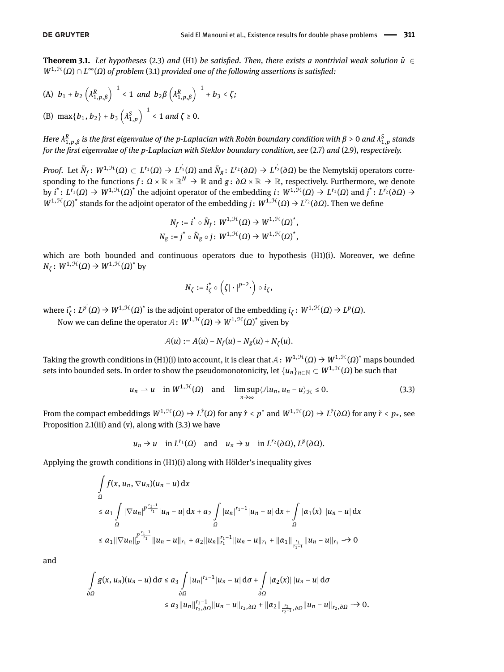<span id="page-7-0"></span>**Theorem 3.1.** *Let hypotheses* [\(2.3\)](#page-3-0) *and* (H1) *be satisfied. Then, there exists a nontrivial weak solution*  $\hat{u} \in$ *W*<sup>1,H</sup>(Ω) ∩ *L*<sup>∞</sup>(Ω) of problem [\(3.1\)](#page-6-1) provided one of the following assertions is satisfied:

(A) 
$$
b_1 + b_2 \left(\lambda_{1,p,\beta}^R\right)^{-1} < 1
$$
 and  $b_2 \beta \left(\lambda_{1,p,\beta}^R\right)^{-1} + b_3 < \zeta$ ;  
\n(B)  $\max\{b_1, b_2\} + b_3 \left(\lambda_{1,p}^S\right)^{-1} < 1$  and  $\zeta \ge 0$ .

*Here*  $\lambda^R_{1,p,\beta}$  *is the first eigenvalue of the p-Laplacian with Robin boundary condition with β > 0 and*  $\lambda^S_{1,p}$  *stands for the rst eigenvalue of the p-Laplacian with Steklov boundary condition, see* [\(2.7\)](#page-5-1) *and* [\(2.9\)](#page-5-2)*, respectively.*

*Proof.* Let  $\tilde{N}_f$ :  $W^{1,\mathfrak{H}}(\Omega) \subset L^{r_1}(\Omega) \rightarrow L^{r_1'}(\Omega)$  and  $\tilde{N}_g$ :  $L^{r_2}(\partial \Omega) \rightarrow L^{r_2'}(\partial \Omega)$  be the Nemytskij operators corresponding to the functions  $f\colon\varOmega\times\mathbb{R}\times\mathbb{R}^N\to\mathbb{R}$  and  $g\colon\partial\varOmega\times\mathbb{R}\to\mathbb{R}$ , respectively. Furthermore, we denote by  $i^*: L^{r_1}(\Omega) \to W^{1,\mathcal{H}}(\Omega)^*$  the adjoint operator of the embedding  $i: W^{1,\mathcal{H}}(\Omega) \to L^{r_1}(\Omega)$  and  $j^*: L^{r_2}(\partial \Omega) \to$ *W*<sup>1,H</sup>(*Ω*)<sup>\*</sup> stands for the adjoint operator of the embedding *j*: *W*<sup>1,H</sup>(*Ω*) → *L*<sup>*r*</sup>2(*∂Ω*). Then we define

$$
N_f := i^* \circ \tilde{N}_f \colon W^{1,\mathcal{H}}(\Omega) \to W^{1,\mathcal{H}}(\Omega)^*,
$$
  

$$
N_g := j^* \circ \tilde{N}_g \circ j \colon W^{1,\mathcal{H}}(\Omega) \to W^{1,\mathcal{H}}(\Omega)^*,
$$

which are both bounded and continuous operators due to hypothesis  $(H1)(i)$ . Moreover, we define  $N_\zeta$ :  $W^{1,\mathcal{H}}(\Omega) \to W^{1,\mathcal{H}}(\Omega)^*$  by

<span id="page-7-1"></span>
$$
N_{\zeta}:=i_{\zeta}^{\star}\circ\left(\zeta|\cdot|^{p-2}\cdot\right)\circ i_{\zeta},
$$

 $\mathsf{where} \ i^*_\zeta \colon L^{p'}(\Omega) \to W^{1,\mathcal{H}}(\Omega)^* \text{ is the adjoint operator of the embedding } i_\zeta \colon W^{1,\mathcal{H}}(\Omega) \to L^p(\Omega).$ 

Now we can define the operator  $\mathcal{A}:W^{1,\mathcal{H}}(\Omega)\rightarrow W^{1,\mathcal{H}}(\Omega)^{*}$  given by

$$
\mathcal{A}(u) := A(u) - N_f(u) - N_g(u) + N_\zeta(u).
$$

Taking the growth conditions in (H1)(i) into account, it is clear that  $A\colon W^{1, \mathcal H}(\Omega)\to W^{1, \mathcal H}(\Omega)^*$  maps bounded sets into bounded sets. In order to show the pseudomonotonicity, let  $\{u_n\}_{n\in\mathbb{N}}\subset W^{1,\mathcal{H}}(\Omega)$  be such that

$$
u_n \rightharpoonup u
$$
 in  $W^{1,\mathcal{H}}(\Omega)$  and  $\limsup_{n \to \infty} \langle Au_n, u_n - u \rangle_{\mathcal{H}} \leq 0.$  (3.3)

From the compact embeddings  $W^{1, \mathcal{H}}(\Omega) \hookrightarrow L^{\hat{r}}(\Omega)$  for any  $\hat{r} < p^\star$  and  $W^{1, \mathcal{H}}(\Omega) \hookrightarrow L^{\tilde{r}}(\partial \Omega)$  for any  $\tilde{r} < p_\star$ , see Proposition [2.1\(](#page-4-3)iii) and (v), along with  $(3.3)$  we have

$$
u_n \to u
$$
 in  $L^{r_1}(\Omega)$  and  $u_n \to u$  in  $L^{r_2}(\partial \Omega), L^p(\partial \Omega)$ .

Applying the growth conditions in (H1)(i) along with Hölder's inequality gives

$$
\int_{\Omega} f(x, u_n, \nabla u_n)(u_n - u) dx
$$
\n
$$
\leq a_1 \int_{\Omega} |\nabla u_n|^{p \frac{r_1 - 1}{r_1}} |u_n - u| dx + a_2 \int_{\Omega} |u_n|^{r_1 - 1} |u_n - u| dx + \int_{\Omega} |\alpha_1(x)| |u_n - u| dx
$$
\n
$$
\leq a_1 ||\nabla u_n||_p^{\frac{p \cdot r_1 - 1}{r_1}} ||u_n - u||_{r_1} + a_2 ||u_n||_{r_1}^{r_1 - 1} ||u_n - u||_{r_1} + ||\alpha_1||_{\frac{r_1}{r_1 - 1}} ||u_n - u||_{r_1} \to 0
$$

and

$$
\int_{\partial\Omega} g(x, u_n)(u_n - u) d\sigma \le a_3 \int_{\partial\Omega} |u_n|^{r_2 - 1} |u_n - u| d\sigma + \int_{\partial\Omega} |\alpha_2(x)| |u_n - u| d\sigma
$$
  

$$
\le a_3 \|u_n\|_{r_2, \partial\Omega}^{r_2 - 1} \|u_n - u\|_{r_2, \partial\Omega} + \|\alpha_2\|_{\frac{r_2}{r_2 - 1}, \partial\Omega} \|u_n - u\|_{r_2, \partial\Omega} \to 0.
$$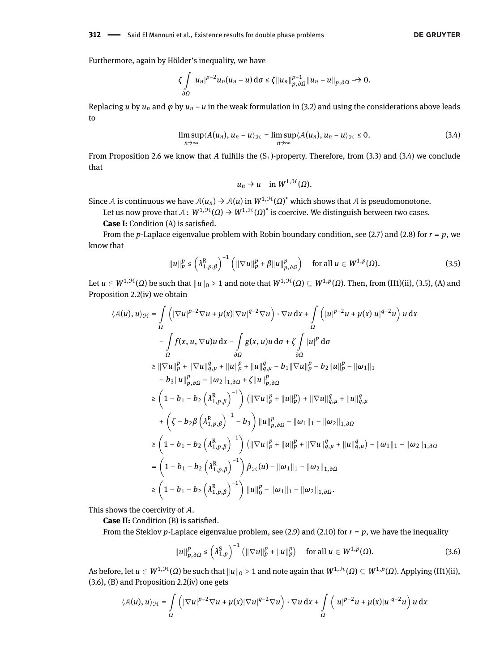Furthermore, again by Hölder's inequality, we have

$$
\zeta \int\limits_{\partial\Omega} |u_n|^{p-2} u_n(u_n-u) \, \mathrm{d}\sigma \leq \zeta \|u_n\|_{p,\partial\Omega}^{p-1} \|u_n-u\|_{p,\partial\Omega} \to 0.
$$

Replacing *u* by  $u_n$  and  $\varphi$  by  $u_n - u$  in the weak formulation in [\(3.2\)](#page-6-2) and using the considerations above leads to

$$
\limsup_{n\to\infty}\langle A(u_n),u_n-u\rangle_{\mathcal{H}}=\limsup_{n\to\infty}\langle A(u_n),u_n-u\rangle_{\mathcal{H}}\leq 0. \hspace{1cm} (3.4)
$$

From Proposition [2.6](#page-5-3) we know that *A* fulfills the  $(S_+)$ -property. Therefore, from [\(3.3\)](#page-7-1) and [\(3.4\)](#page-8-0) we conclude that

<span id="page-8-1"></span><span id="page-8-0"></span>
$$
u_n \to u \quad \text{in } W^{1, \mathcal{H}}(\Omega).
$$

Since A is continuous we have  $A(u_n) \to A(u)$  in  $W^{1,\mathcal{H}}(\Omega)^\star$  which shows that A is pseudomonotone.

Let us now prove that  $\mathcal{A} \colon W^{1,\mathcal{H}}(\varOmega) \to W^{1,\mathcal{H}}(\varOmega)^*$  is coercive. We distinguish between two cases.

**Case I:** Condition (A) is satisfied.

From the *p*-Laplace eigenvalue problem with Robin boundary condition, see [\(2.7\)](#page-5-1) and [\(2.8\)](#page-5-4) for *r* = *p*, we know that

$$
||u||_p^p \leq \left(\lambda_{1,p,\beta}^R\right)^{-1} \left(||\nabla u||_p^p + \beta ||u||_{p,\partial\Omega}^p\right) \quad \text{for all } u \in W^{1,p}(\Omega). \tag{3.5}
$$

Let  $u\in W^{1,\mathcal{H}}(\Omega)$  be such that  $\|u\|_0>1$  and note that  $W^{1,\mathcal{H}}(\Omega)\subseteq W^{1,p}(\Omega).$  Then, from (H1)(ii), [\(3.5\)](#page-8-1), (A) and Proposition [2.2\(](#page-4-4)iv) we obtain

$$
\langle A(u), u \rangle_{\mathcal{H}} = \int_{\Omega} \left( |\nabla u|^{p-2} \nabla u + \mu(x) |\nabla u|^{q-2} \nabla u \right) \cdot \nabla u \, dx + \int_{\Omega} \left( |u|^{p-2} u + \mu(x) |u|^{q-2} u \right) u \, dx
$$
  
\n
$$
- \int_{\Omega} f(x, u, \nabla u) u \, dx - \int_{\partial \Omega} g(x, u) u \, d\sigma + \zeta \int_{\partial \Omega} |u|^p \, d\sigma
$$
  
\n
$$
\geq ||\nabla u||_p^p + ||\nabla u||_{q,\mu}^q + ||u||_p^p + ||u||_{q,\mu}^q - b_1 ||\nabla u||_p^p - b_2 ||u||_p^p - ||\omega_1||_1
$$
  
\n
$$
- b_3 ||u||_{p,\partial \Omega}^p - ||\omega_2||_{1,\partial \Omega} + \zeta ||u||_{p,\partial \Omega}^p
$$
  
\n
$$
\geq \left( 1 - b_1 - b_2 \left( \lambda_{1,p,\beta}^R \right)^{-1} \right) \left( ||\nabla u||_p^p + ||u||_p^p \right) + ||\nabla u||_{q,\mu}^q + ||u||_{q,\mu}^q
$$
  
\n
$$
+ \left( \zeta - b_2 \beta \left( \lambda_{1,p,\beta}^R \right)^{-1} - b_3 \right) ||u||_{p,\partial \Omega}^p - ||\omega_1||_1 - ||\omega_2||_{1,\partial \Omega}
$$
  
\n
$$
\geq \left( 1 - b_1 - b_2 \left( \lambda_{1,p,\beta}^R \right)^{-1} \right) \left( ||\nabla u||_p^p + ||u||_p^p + ||\nabla u||_{q,\mu}^q + ||u||_{q,\mu}^q \right) - ||\omega_1||_1 - ||\omega_2||_{1,\partial \Omega}
$$
  
\n
$$
= \left( 1 - b_1 - b_2 \left( \lambda_{1,p,\beta}^R \right)^{-1} \right) \hat{\rho}_{\mathcal{H}}(u) - ||\omega_1||_1 - ||\omega_2||_{1,\partial \Omega}
$$
  
\n
$$
\geq \left( 1 - b_1 - b_2
$$

This shows the coercivity of A.

**Case II:** Condition (B) is satisfied.

From the Steklov *p*-Laplace eigenvalue problem, see [\(2.9\)](#page-5-2) and [\(2.10\)](#page-6-3) for  $r = p$ , we have the inequality

<span id="page-8-2"></span>
$$
||u||_{p,\partial\Omega}^p \leq \left(\lambda_{1,p}^S\right)^{-1} \left(||\nabla u||_p^p + ||u||_p^p\right) \quad \text{for all } u \in W^{1,p}(\Omega). \tag{3.6}
$$

As before, let  $u \in W^{1,\mathcal{H}}(\Omega)$  be such that  $\|u\|_0 > 1$  and note again that  $W^{1,\mathcal{H}}(\Omega) \subseteq W^{1,p}(\Omega)$ . Applying (H1)(ii), [\(3.6\)](#page-8-2), (B) and Proposition [2.2\(](#page-4-4)iv) one gets

$$
\langle \mathcal{A}(u), u \rangle_{\mathcal{H}} = \int\limits_{\Omega} \left( |\nabla u|^{p-2} \nabla u + \mu(x) |\nabla u|^{q-2} \nabla u \right) \cdot \nabla u \, dx + \int\limits_{\Omega} \left( |u|^{p-2} u + \mu(x) |u|^{q-2} u \right) u \, dx
$$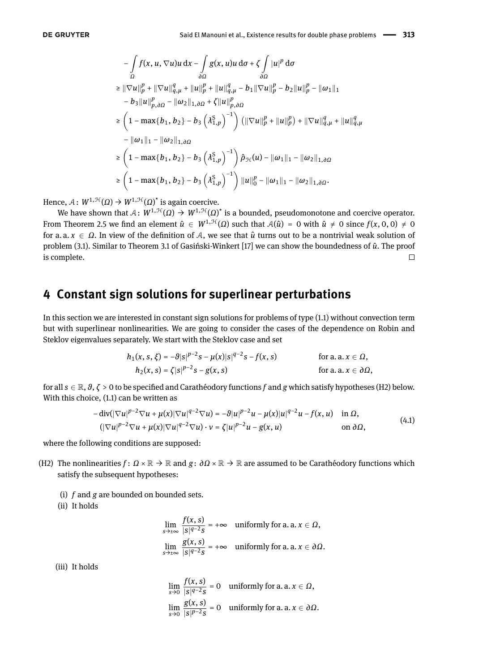$$
-\int_{\Omega} f(x, u, \nabla u)u \,dx - \int_{\partial\Omega} g(x, u)u \,d\sigma + \zeta \int_{\partial\Omega} |u|^p \,d\sigma
$$
  
\n
$$
\geq ||\nabla u||_p^p + ||\nabla u||_{q,\mu}^q + ||u||_p^p + ||u||_{q,\mu}^q - b_1 ||\nabla u||_p^p - b_2 ||u||_p^p - ||\omega_1||_1
$$
  
\n
$$
- b_3 ||u||_{p,\partial\Omega}^p - ||\omega_2||_{1,\partial\Omega} + \zeta ||u||_{p,\partial\Omega}^p
$$
  
\n
$$
\geq \left(1 - \max\{b_1, b_2\} - b_3 \left(\lambda_{1,p}^S\right)^{-1}\right) \left(||\nabla u||_p^p + ||u||_p^p\right) + ||\nabla u||_{q,\mu}^q + ||u||_{q,\mu}^q
$$
  
\n
$$
- ||\omega_1||_1 - ||\omega_2||_{1,\partial\Omega}
$$
  
\n
$$
\geq \left(1 - \max\{b_1, b_2\} - b_3 \left(\lambda_{1,p}^S\right)^{-1}\right) \hat{p}_{\mathcal{H}}(u) - ||\omega_1||_1 - ||\omega_2||_{1,\partial\Omega}
$$
  
\n
$$
\geq \left(1 - \max\{b_1, b_2\} - b_3 \left(\lambda_{1,p}^S\right)^{-1}\right) ||u||_0^p - ||\omega_1||_1 - ||\omega_2||_{1,\partial\Omega}.
$$

Hence,  $\mathcal{A}: W^{1,\mathcal{H}}(\Omega) \rightarrow W^{1,\mathcal{H}}(\Omega)^\star$  is again coercive.

We have shown that  $\mathcal{A}\colon W^{1,\mathcal{H}}(\Omega)\to W^{1,\mathcal{H}}(\Omega)^*$  is a bounded, pseudomonotone and coercive operator. From Theorem [2.5](#page-5-5) we find an element  $\hat{u} \in W^{1, \mathcal{H}}(\Omega)$  such that  $A(\hat{u}) = 0$  with  $\hat{u} \neq 0$  since  $f(x, 0, 0) \neq 0$ for a. a.  $x \in \Omega$ . In view of the definition of A, we see that  $\hat{u}$  turns out to be a nontrivial weak solution of problem [\(3.1\)](#page-6-1). Similar to Theorem 3.1 of Gasiński-Winkert [\[17\]](#page-15-6) we can show the boundedness of  $\hat{u}$ . The proof is complete.  $\Box$ 

# <span id="page-9-0"></span>**4 Constant sign solutions for superlinear perturbations**

In this section we are interested in constant sign solutions for problems of type [\(1.1\)](#page-0-0) without convection term but with superlinear nonlinearities. We are going to consider the cases of the dependence on Robin and Steklov eigenvalues separately. We start with the Steklov case and set

<span id="page-9-1"></span>
$$
h_1(x, s, \xi) = -\theta |s|^{p-2} s - \mu(x) |s|^{q-2} s - f(x, s)
$$
 for a. a.  $x \in \Omega$ ,  
\n
$$
h_2(x, s) = \zeta |s|^{p-2} s - g(x, s)
$$
 for a. a.  $x \in \partial\Omega$ ,

for all  $s \in \mathbb{R}$ ,  $\theta$ ,  $\zeta > 0$  to be specified and Carathéodory functions f and g which satisfy hypotheses (H2) below. With this choice, [\(1.1\)](#page-0-0) can be written as

$$
-\operatorname{div}(|\nabla u|^{p-2}\nabla u + \mu(x)|\nabla u|^{q-2}\nabla u) = -\vartheta|u|^{p-2}u - \mu(x)|u|^{q-2}u - f(x,u) \quad \text{in } \Omega,
$$
  

$$
(|\nabla u|^{p-2}\nabla u + \mu(x)|\nabla u|^{q-2}\nabla u) \cdot v = \zeta|u|^{p-2}u - g(x,u) \quad \text{on } \partial\Omega,
$$
 (4.1)

where the following conditions are supposed:

- (H2) The nonlinearities  $f: \Omega \times \mathbb{R} \to \mathbb{R}$  and  $g: \partial \Omega \times \mathbb{R} \to \mathbb{R}$  are assumed to be Carathéodory functions which satisfy the subsequent hypotheses:
	- (i) *f* and *g* are bounded on bounded sets.
	- (ii) It holds

$$
\lim_{s \to \pm \infty} \frac{f(x, s)}{|s|^{q-2} s} = +\infty \quad \text{uniformly for a. a. } x \in \Omega,
$$
\n
$$
\lim_{s \to \pm \infty} \frac{g(x, s)}{|s|^{q-2} s} = +\infty \quad \text{uniformly for a. a. } x \in \partial\Omega.
$$

(iii) It holds

$$
\lim_{s \to 0} \frac{f(x, s)}{|s|^{q-2} s} = 0 \quad \text{uniformly for a. a. } x \in \Omega,
$$
\n
$$
\lim_{s \to 0} \frac{g(x, s)}{|s|^{p-2} s} = 0 \quad \text{uniformly for a. a. } x \in \partial \Omega.
$$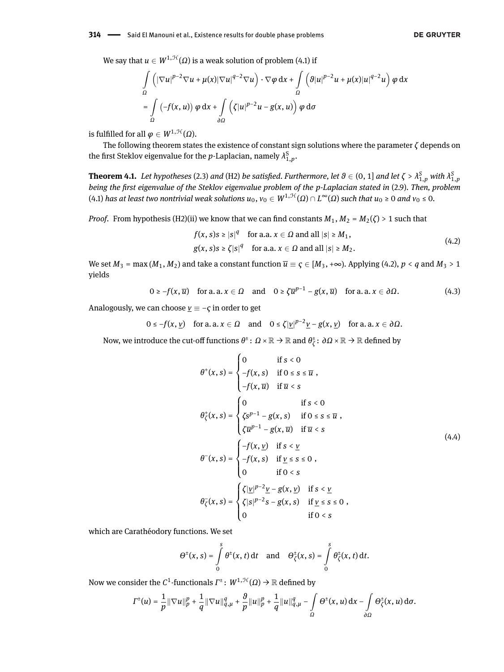We say that  $u \in W^{1,\mathcal{H}}(\Omega)$  is a weak solution of problem [\(4.1\)](#page-9-1) if

$$
\int_{\Omega} \left( |\nabla u|^{p-2} \nabla u + \mu(x) |\nabla u|^{q-2} \nabla u \right) \cdot \nabla \varphi \, dx + \int_{\Omega} \left( \vartheta |u|^{p-2} u + \mu(x) |u|^{q-2} u \right) \varphi \, dx
$$
  
= 
$$
\int_{\Omega} \left( -f(x, u) \right) \varphi \, dx + \int_{\partial \Omega} \left( \zeta |u|^{p-2} u - g(x, u) \right) \varphi \, d\sigma
$$

is fulfilled for all  $\varphi \in W^{1, \mathcal{H}}(\Omega)$ .

The following theorem states the existence of constant sign solutions where the parameter *ζ* depends on the first Steklov eigenvalue for the *p*-Laplacian, namely  $\lambda_{1,p}^{\mathrm{S}}$ .

<span id="page-10-0"></span>**Theorem 4.1.** Let hypotheses [\(2.3\)](#page-3-0) and (H2) be satisfied. Furthermore, let  $\theta \in (0,1]$  and let  $\zeta > \lambda^S_{1,p}$  with  $\lambda^S_{1,p}$ *being the first eigenvalue of the Steklov eigenvalue problem of the p-Laplacian stated in* [\(2.9\)](#page-5-2). Then, problem [\(4.1\)](#page-9-1) *has at least two nontrivial weak solutions u*0, *v*<sup>0</sup> <sup>∈</sup> *W*1,H(*Ω*) <sup>∩</sup> *L* <sup>∞</sup>(*Ω*) *such that u*<sup>0</sup> ≥ 0 *and v*<sup>0</sup> ≤ 0*.*

*Proof.* From hypothesis (H2)(ii) we know that we can find constants  $M_1$ ,  $M_2 = M_2(\zeta) > 1$  such that

<span id="page-10-3"></span><span id="page-10-1"></span>
$$
f(x, s)s \ge |s|^q \quad \text{for a.a. } x \in \Omega \text{ and all } |s| \ge M_1,
$$
  
 
$$
g(x, s)s \ge \zeta |s|^q \quad \text{for a.a. } x \in \Omega \text{ and all } |s| \ge M_2.
$$
 (4.2)

We set  $M_3 = \max(M_1, M_2)$  and take a constant function  $\overline{u} = \zeta \in [M_3, +\infty)$ . Applying [\(4.2\)](#page-10-1),  $p < q$  and  $M_3 > 1$ yields

$$
0 \ge -f(x, \overline{u}) \quad \text{for a. a.} \ x \in \Omega \quad \text{and} \quad 0 \ge \zeta \overline{u}^{p-1} - g(x, \overline{u}) \quad \text{for a. a.} \ x \in \partial \Omega. \tag{4.3}
$$

Analogously, we can choose  $v \equiv -\varsigma$  in order to get

$$
0 \le -f(x, y)
$$
 for a. a.  $x \in \Omega$  and  $0 \le \zeta |y|^{p-2}y - g(x, y)$  for a. a.  $x \in \partial\Omega$ .

Now, we introduce the cut-off functions  $\theta^{\pm} \colon \Omega \times \mathbb{R} \to \mathbb{R}$  and  $\theta^{\pm}_{\zeta}$ *ζ* : *∂Ω* × R → R dened by

<span id="page-10-2"></span>
$$
\theta^+(x,s) = \begin{cases}\n0 & \text{if } s < 0 \\
-f(x,s) & \text{if } 0 \le s \le \overline{u} , \\
-f(x,\overline{u}) & \text{if } \overline{u} < s\n\end{cases}
$$
\n
$$
\theta^+_\zeta(x,s) = \begin{cases}\n0 & \text{if } s < 0 \\
\zeta s^{p-1} - g(x,s) & \text{if } 0 \le s \le \overline{u} , \\
\zeta \overline{u}^{p-1} - g(x,\overline{u}) & \text{if } \overline{u} < s\n\end{cases}
$$
\n
$$
\theta^-(x,s) = \begin{cases}\n-f(x,y) & \text{if } s < \underline{v} \\
-f(x,s) & \text{if } \underline{v} \le s \le 0 , \\
0 & \text{if } 0 < s\n\end{cases}
$$
\n
$$
\theta^-_\zeta(x,s) = \begin{cases}\n\zeta |\underline{v}|^{p-2} \underline{v} - g(x,\underline{v}) & \text{if } s < \underline{v} \\
\zeta |s|^{p-2} s - g(x,s) & \text{if } \underline{v} \le s \le 0 , \\
0 & \text{if } 0 < s\n\end{cases}
$$

which are Carathéodory functions. We set

$$
\Theta^{\pm}(x,s)=\int\limits_{0}^{s}\theta^{\pm}(x,t)\,\mathrm{d}t\quad\text{and}\quad\Theta_{\zeta}^{\pm}(x,s)=\int\limits_{0}^{s}\theta_{\zeta}^{\pm}(x,t)\,\mathrm{d}t.
$$

Now we consider the  $C^1$ -functionals  $\varGamma^\pm\colon\,W^{1,\mathfrak{H}}(\varOmega)\rightarrow\mathbb{R}$  defined by

$$
\varGamma^\pm(u)=\frac{1}{p}\|\nabla u\|_p^p+\frac{1}{q}\|\nabla u\|_{q,\mu}^q+\frac{g}{p}\|u\|_p^p+\frac{1}{q}\|u\|_{q,\mu}^q-\int\limits_\Omega\Theta^\pm(x,u)\,\mathrm{d} x-\int\limits_{\partial\Omega}\Theta^\pm_\zeta(x,u)\,\mathrm{d}\sigma.
$$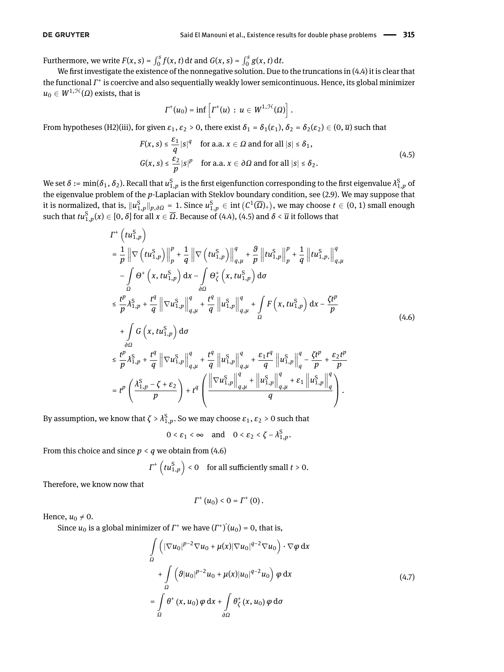Furthermore, we write  $F(x, s) = \int_0^s f(x, t) dt$  and  $G(x, s) = \int_0^s g(x, t) dt$ .

We first investigate the existence of the nonnegative solution. Due to the truncations in  $(4.4)$  it is clear that the functional *Γ*<sup>+</sup> is coercive and also sequentially weakly lower semicontinuous. Hence, its global minimizer  $u_0 \in W^{1, \mathcal{H}}(\Omega)$  exists, that is

<span id="page-11-0"></span>
$$
\Gamma^+(u_0)=\inf\left[\Gamma^+(u)\,:\,u\in W^{1,\mathfrak{H}}(\Omega)\right].
$$

From hypotheses (H2)(iii), for given  $\varepsilon_1$ ,  $\varepsilon_2 > 0$ , there exist  $\delta_1 = \delta_1(\varepsilon_1)$ ,  $\delta_2 = \delta_2(\varepsilon_2) \in (0, \overline{u})$  such that

$$
F(x, s) \le \frac{\varepsilon_1}{q} |s|^q \quad \text{for a.a. } x \in \Omega \text{ and for all } |s| \le \delta_1,
$$
  

$$
G(x, s) \le \frac{\varepsilon_2}{p} |s|^p \quad \text{for a.a. } x \in \partial \Omega \text{ and for all } |s| \le \delta_2.
$$
 (4.5)

We set  $\delta:=\min(\delta_1,\delta_2).$  Recall that  $u_{1,p}^S$  is the first eigenfunction corresponding to the first eigenvalue  $\lambda_{1,p}^S$  of the eigenvalue problem of the *p*-Laplacian with Steklov boundary condition, see [\(2.9\)](#page-5-2). We may suppose that it is normalized, that is,  $\|u_{1,p}^S\|_{p,\partial\Omega}$  = 1. Since  $u_{1,p}^S$   $\in$  int  $(C^1(\overline{\Omega})_+)$ , we may choose  $t\in(0,1)$  small enough such that  $tu_{1,p}^S(x) \in [0,\delta]$  for all  $x \in \overline{\Omega}$ . Because of [\(4.4\)](#page-10-2), [\(4.5\)](#page-11-0) and  $\delta < \overline{u}$  it follows that

$$
I^{+}\left(tu_{1,p}^{S}\right)
$$
\n
$$
= \frac{1}{p} \left\| \nabla \left(tu_{1,p}^{S}\right) \right\|_{p}^{p} + \frac{1}{q} \left\| \nabla \left(tu_{1,p}^{S}\right) \right\|_{q,\mu}^{q} + \frac{\vartheta}{p} \left\| tu_{1,p}^{S}\right\|_{p}^{p} + \frac{1}{q} \left\| tu_{1,p}^{S}\right\|_{q,\mu}^{q}
$$
\n
$$
- \int_{\Omega} \Theta^{+} \left(x, tu_{1,p}^{S}\right) dx - \int_{\partial\Omega} \Theta_{\zeta}^{+} \left(x, tu_{1,p}^{S}\right) d\sigma
$$
\n
$$
\leq \frac{t^{p}}{p} \lambda_{1,p}^{S} + \frac{t^{q}}{q} \left\| \nabla u_{1,p}^{S}\right\|_{q,\mu}^{q} + \frac{t^{q}}{q} \left\| u_{1,p}^{S}\right\|_{q,\mu}^{q} + \int_{\Omega} F\left(x, tu_{1,p}^{S}\right) dx - \frac{\zeta t^{p}}{p}
$$
\n
$$
+ \int_{\partial\Omega} G\left(x, tu_{1,p}^{S}\right) d\sigma
$$
\n
$$
\leq \frac{t^{p}}{p} \lambda_{1,p}^{S} + \frac{t^{q}}{q} \left\| \nabla u_{1,p}^{S}\right\|_{q,\mu}^{q} + \frac{t^{q}}{q} \left\| u_{1,p}^{S}\right\|_{q,\mu}^{q} + \frac{\varepsilon_{1}t^{q}}{q} \left\| u_{1,p}^{S}\right\|_{q}^{q} - \frac{\zeta t^{p}}{p} + \frac{\varepsilon_{2}t^{p}}{p}
$$
\n
$$
= t^{p} \left(\frac{\lambda_{1,p}^{S} - \zeta + \varepsilon_{2}}{p}\right) + t^{q} \left(\frac{\left\| \nabla u_{1,p}^{S}\right\|_{q,\mu}^{q} + \left\| u_{1,p}^{S}\right\|_{q,\mu}^{q} + \varepsilon_{1} \left\| u_{1,p}^{S}\right\|_{q}^{q}}{q}\right).
$$
\n(A.6)

By assumption, we know that  $\zeta > \lambda_{1,p}^{\mathcal{S}}$ . So we may choose  $\varepsilon_1, \varepsilon_2 > 0$  such that

<span id="page-11-1"></span>
$$
0 < \varepsilon_1 < \infty \quad \text{and} \quad 0 < \varepsilon_2 < \zeta - \lambda_{1,p}^S.
$$

From this choice and since  $p < q$  we obtain from [\(4.6\)](#page-11-1)

$$
\Gamma^+\left(tu_{1,p}^S\right) < 0 \quad \text{for all sufficiently small } t > 0.
$$

Therefore, we know now that

<span id="page-11-2"></span>
$$
\Gamma^{+}\left(u_{0}\right) < 0 = \Gamma^{+}\left(0\right).
$$

Hence,  $u_0 \neq 0$ .

Since  $u_0$  is a global minimizer of  $\Gamma^+$  we have  $(\Gamma^+)'(u_0) = 0$ , that is,

$$
\int_{\Omega} \left( |\nabla u_0|^{p-2} \nabla u_0 + \mu(x) |\nabla u_0|^{q-2} \nabla u_0 \right) \cdot \nabla \varphi \, dx
$$
\n
$$
+ \int_{\Omega} \left( \vartheta |u_0|^{p-2} u_0 + \mu(x) |u_0|^{q-2} u_0 \right) \varphi \, dx
$$
\n
$$
= \int_{\Omega} \theta^+ (x, u_0) \varphi \, dx + \int_{\partial \Omega} \theta^+_{\zeta} (x, u_0) \varphi \, d\sigma
$$
\n(4.7)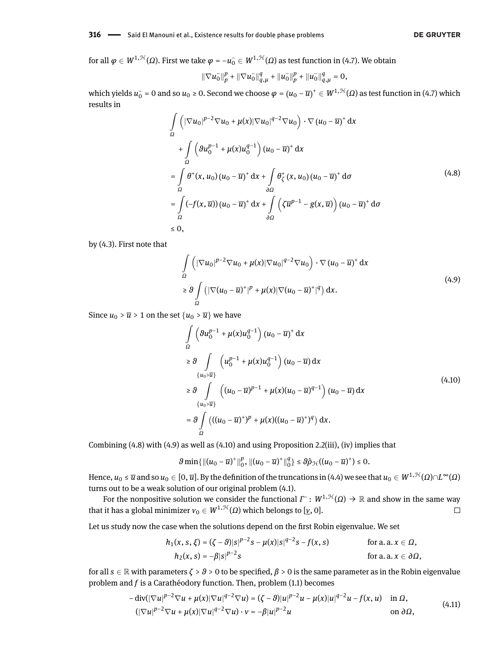#### **316** - Said El Manouni et al., Existence results for double phase problems

for all  $\varphi\in W^{1,\mathcal{H}}(\varOmega).$  First we take  $\varphi=-u_0^-\in W^{1,\mathcal{H}}(\varOmega)$  as test function in [\(4.7\)](#page-11-2). We obtain

<span id="page-12-0"></span>
$$
\|\nabla u_0^-\|_p^p + \|\nabla u_0^-\|_{q,\mu}^q + \|u_0^-\|_p^p + \|u_0^-\|_{q,\mu}^q = 0,
$$

which yields  $u_0^-$  = 0 and so  $u_0$  ≥ 0. Second we choose  $\varphi=(u_0-\overline{u})^+\in W^{1, \mathfrak{H}}(\Omega)$  as test function in [\(4.7\)](#page-11-2) which results in

$$
\int_{\Omega} \left( |\nabla u_0|^{p-2} \nabla u_0 + \mu(x) |\nabla u_0|^{q-2} \nabla u_0 \right) \cdot \nabla (u_0 - \overline{u})^+ dx
$$
\n
$$
+ \int_{\Omega} \left( \partial u_0^{p-1} + \mu(x) u_0^{q-1} \right) (u_0 - \overline{u})^+ dx
$$
\n
$$
= \int_{\Omega} \theta^+ (x, u_0) (u_0 - \overline{u})^+ dx + \int_{\partial \Omega} \theta^+_x (x, u_0) (u_0 - \overline{u})^+ d\sigma
$$
\n
$$
= \int_{\Omega} (-f(x, \overline{u})) (u_0 - \overline{u})^+ dx + \int_{\partial \Omega} \left( \zeta \overline{u}^{p-1} - g(x, \overline{u}) \right) (u_0 - \overline{u})^+ d\sigma
$$
\n
$$
\leq 0,
$$
\n(4.8)

by [\(4.3\)](#page-10-3). First note that

<span id="page-12-1"></span>
$$
\int_{\Omega} \left( |\nabla u_0|^{p-2} \nabla u_0 + \mu(x) |\nabla u_0|^{q-2} \nabla u_0 \right) \cdot \nabla (u_0 - \overline{u})^+ dx
$$
\n
$$
\geq \theta \int_{\Omega} \left( |\nabla (u_0 - \overline{u})^+|^p + \mu(x) |\nabla (u_0 - \overline{u})^+|^q \right) dx.
$$
\n(4.9)

Since  $u_0$  >  $\overline{u}$  > 1 on the set  $\{u_0$  >  $\overline{u}\}$  we have

<span id="page-12-2"></span>
$$
\int_{\Omega} \left( \theta u_0^{p-1} + \mu(x) u_0^{q-1} \right) (u_0 - \overline{u})^+ dx
$$
\n
$$
\geq \theta \int_{\{u_0 > \overline{u}\}} \left( u_0^{p-1} + \mu(x) u_0^{q-1} \right) (u_0 - \overline{u}) dx
$$
\n
$$
\geq \theta \int_{\{u_0 > \overline{u}\}} \left( (u_0 - \overline{u})^{p-1} + \mu(x) (u_0 - \overline{u})^{q-1} \right) (u_0 - \overline{u}) dx
$$
\n
$$
= \theta \int_{\Omega} \left( ((u_0 - \overline{u})^+)^p + \mu(x) ((u_0 - \overline{u})^+)^q \right) dx.
$$
\n(4.10)

Combining [\(4.8\)](#page-12-0) with [\(4.9\)](#page-12-1) as well as [\(4.10\)](#page-12-2) and using Proposition [2.2\(](#page-4-4)iii), (iv) implies that

$$
\vartheta \min\{\|(u_0-\overline{u})^+\|_0^p, \|(u_0-\overline{u})^+\|_0^q\} \le \vartheta \hat{\rho}_{\mathcal{H}}((u_0-\overline{u})^+) \le 0.
$$

 $\text{Hence,}\ u_0\le\overline{u}\ \text{and so}\ u_0\in[0,\overline{u}].$  By the definition of the truncations in [\(4.4\)](#page-10-2) we see that  $u_0\in W^{1, \mathcal{H}}(\Omega)\cap L^\infty(\Omega)$ turns out to be a weak solution of our original problem [\(4.1\)](#page-9-1).

For the nonpositive solution we consider the functional  $\varGamma$  :  $W^{1,\mathcal{H}}(\varOmega) \to \mathbb{R}$  and show in the same way that it has a global minimizer  $v_0 \in W^{1,\mathcal{H}}(\Omega)$  which belongs to [*v*, 0].  $\Box$ 

Let us study now the case when the solutions depend on the first Robin eigenvalue. We set

<span id="page-12-3"></span>
$$
h_1(x, s, \xi) = (\zeta - \theta)|s|^{p-2} s - \mu(x)|s|^{q-2} s - f(x, s)
$$
 for a. a.  $x \in \Omega$ ,  
\n
$$
h_2(x, s) = -\beta|s|^{p-2} s
$$
 for a. a.  $x \in \partial\Omega$ ,

for all  $s \in \mathbb{R}$  with parameters  $\zeta > \theta > 0$  to be specified,  $\beta > 0$  is the same parameter as in the Robin eigenvalue problem and *f* is a Carathéodory function. Then, problem [\(1.1\)](#page-0-0) becomes

$$
-\operatorname{div}(|\nabla u|^{p-2}\nabla u + \mu(x)|\nabla u|^{q-2}\nabla u) = (\zeta - \theta)|u|^{p-2}u - \mu(x)|u|^{q-2}u - f(x,u) \quad \text{in } \Omega,
$$
  

$$
(|\nabla u|^{p-2}\nabla u + \mu(x)|\nabla u|^{q-2}\nabla u) \cdot v = -\beta|u|^{p-2}u \quad \text{on } \partial\Omega,
$$
 (4.11)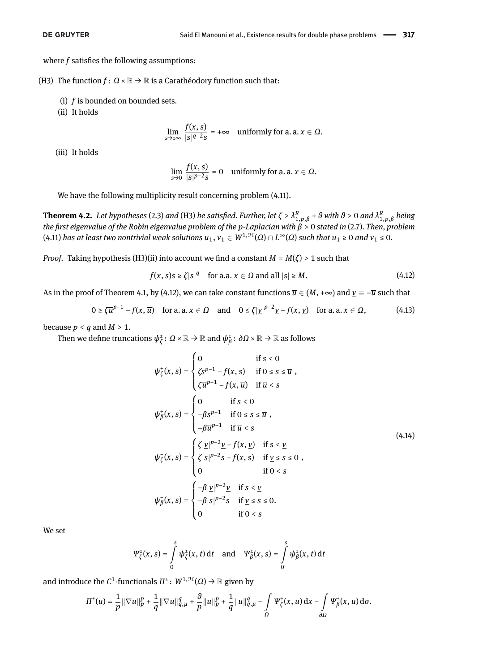where  $f$  satisfies the following assumptions:

(H3) The function  $f: \Omega \times \mathbb{R} \to \mathbb{R}$  is a Carathéodory function such that:

- (i) *f* is bounded on bounded sets.
- (ii) It holds

$$
\lim_{s\to\pm\infty}\frac{f(x,s)}{|s|^{q-2}s} = +\infty \quad \text{uniformly for a. a. } x \in \Omega.
$$

(iii) It holds

<span id="page-13-1"></span>
$$
\lim_{s\to 0}\frac{f(x,s)}{|s|^{p-2}s}=0 \quad \text{uniformly for a. a. } x\in \Omega.
$$

We have the following multiplicity result concerning problem [\(4.11\)](#page-12-3).

<span id="page-13-0"></span>**Theorem 4.2.** Let hypotheses [\(2.3\)](#page-3-0) and (H3) be satisfied. Further, let  $\zeta > \lambda_{1,p,\beta}^R + \vartheta$  with  $\vartheta > 0$  and  $\lambda_{1,p,\beta}^R$  being *the rst eigenvalue of the Robin eigenvalue problem of the p-Laplacian with β* > 0 *stated in* [\(2.7\)](#page-5-1)*. Then, problem*  $(4.11)$  has at least two nontrivial weak solutions  $u_1, v_1 \in W^{1,\mathcal{H}}(\Omega) \cap L^\infty(\Omega)$  such that  $u_1 \geq 0$  and  $v_1 \leq 0$ .

*Proof.* Taking hypothesis (H3)(ii) into account we find a constant  $M = M(\zeta) > 1$  such that

$$
f(x, s)s \ge \zeta |s|^q \quad \text{for a.a. } x \in \Omega \text{ and all } |s| \ge M. \tag{4.12}
$$

As in the proof of Theorem [4.1,](#page-10-0) by [\(4.12\)](#page-13-1), we can take constant functions  $\overline{u} \in (M, +\infty)$  and  $\underline{v} = -\overline{u}$  such that

$$
0 \ge \zeta \overline{u}^{p-1} - f(x, \overline{u}) \quad \text{for a. a. } x \in \Omega \quad \text{and} \quad 0 \le \zeta |\underline{v}|^{p-2} \underline{v} - f(x, \underline{v}) \quad \text{for a. a. } x \in \Omega,
$$
 (4.13)

because  $p < q$  and  $M > 1$ .

Then we define truncations  $\psi^\pm_\ell$  $\frac{1}{\zeta}$ :  $\varOmega$  ×  $\mathbb{R} \to \mathbb{R}$  and  $\psi_{\beta}^{\pm}$ *β* : *∂Ω* × R → R as follows

<span id="page-13-3"></span><span id="page-13-2"></span>
$$
\psi_{\zeta}^{+}(x, s) = \begin{cases}\n0 & \text{if } s < 0 \\
\zeta s^{p-1} - f(x, s) & \text{if } 0 \le s \le \overline{u}, \\
\zeta \overline{u}^{p-1} - f(x, \overline{u}) & \text{if } \overline{u} < s\n\end{cases}
$$
\n
$$
\psi_{\beta}^{+}(x, s) = \begin{cases}\n0 & \text{if } s < 0 \\
-\beta s^{p-1} & \text{if } 0 \le s \le \overline{u}, \\
-\beta \overline{u}^{p-1} & \text{if } \overline{u} < s\n\end{cases}
$$
\n
$$
\psi_{\zeta}^{-}(x, s) = \begin{cases}\n\zeta | \underline{v}|^{p-2} \underline{v} - f(x, \underline{v}) & \text{if } s < \underline{v} \\
\zeta | s|^{p-2} s - f(x, s) & \text{if } \underline{v} \le s \le 0, \\
0 & \text{if } 0 < s\n\end{cases}
$$
\n
$$
\psi_{\beta}^{-}(x, s) = \begin{cases}\n-\beta | \underline{v}|^{p-2} \underline{v} & \text{if } s < \underline{v} \\
-\beta | s|^{p-2} s & \text{if } \underline{v} \le s \le 0, \\
0 & \text{if } 0 < s\n\end{cases}
$$

We set

$$
\Psi_{\zeta}^{\pm}(x, s) = \int_{0}^{s} \psi_{\zeta}^{\pm}(x, t) dt \text{ and } \Psi_{\beta}^{\pm}(x, s) = \int_{0}^{s} \psi_{\beta}^{\pm}(x, t) dt
$$

and introduce the  $C^1$ -functionals  $\varPi^\pm\colon W^{1, \mathcal H}(\varOmega)\to \mathbb R$  given by

$$
\varPi^\pm(u)=\frac{1}{p}\|\nabla u\|_p^p+\frac{1}{q}\|\nabla u\|_{q,\mu}^q+\frac{g}{p}\|u\|_p^p+\frac{1}{q}\|u\|_{q,\mu}^q-\int\limits_\Omega\Psi_\zeta^\pm(x,u)\,\mathrm{d} x-\int\limits_{\partial\Omega}\Psi_\beta^\pm(x,u)\,\mathrm{d}\sigma.
$$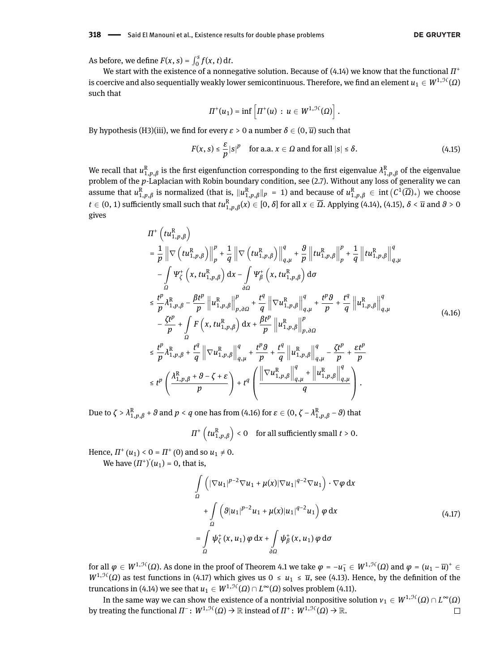As before, we define  $F(x, s) = \int_0^s f(x, t) dt$ .

We start with the existence of a nonnegative solution. Because of [\(4.14\)](#page-13-2) we know that the functional *Π* + is coercive and also sequentially weakly lower semicontinuous. Therefore, we find an element  $u_1 \in W^{1,\mathcal{H}}(\Omega)$ such that

<span id="page-14-0"></span>
$$
\Pi^+(u_1)=\inf\left[\Pi^+(u)\,:\,u\in W^{1,\mathcal{H}}(\Omega)\right].
$$

By hypothesis (H3)(iii), we find for every  $\varepsilon > 0$  a number  $\delta \in (0, \overline{u})$  such that

$$
F(x, s) \le \frac{\varepsilon}{p} |s|^p \quad \text{for a.a. } x \in \Omega \text{ and for all } |s| \le \delta. \tag{4.15}
$$

We recall that  $u_{1,p,\beta}^R$  is the first eigenfunction corresponding to the first eigenvalue  $\lambda_{1,p,\beta}^R$  of the eigenvalue problem of the *p*-Laplacian with Robin boundary condition, see [\(2.7\)](#page-5-1). Without any loss of generality we can assume that  $u_{1,p,\beta}^R$  is normalized (that is,  $\|u_{1,p,\beta}^R\|_p = 1$ ) and because of  $u_{1,p,\beta}^R \in \mathop{\mathrm{int}} \big( C^1(\overline{\Omega})_+ \big)$  we choose  $t \in (0, 1)$  sufficiently small such that  $tu_{1,p,\beta}^R(x) \in [0, \delta]$  for all  $x \in \overline{\Omega}$ . Applying [\(4.14\)](#page-13-2), [\(4.15\)](#page-14-0),  $\delta < \overline{u}$  and  $\theta > 0$ gives

$$
\Pi^{+}\left(tu_{1,p,\beta}^{R}\right)
$$
\n
$$
= \frac{1}{p} \left\| \nabla \left(tu_{1,p,\beta}^{R}\right) \right\|_{p}^{p} + \frac{1}{q} \left\| \nabla \left(tu_{1,p,\beta}^{R}\right) \right\|_{q,\mu}^{q} + \frac{\vartheta}{p} \left\| tu_{1,p,\beta}^{R}\right\|_{p}^{p} + \frac{1}{q} \left\| tu_{1,p,\beta}^{R}\right\|_{q,\mu}^{q}
$$
\n
$$
- \int_{\Omega} \Psi_{\zeta}^{+}\left(x, tu_{1,p,\beta}^{R}\right) dx - \int_{\partial\Omega} \Psi_{\beta}^{+}\left(x, tu_{1,p,\beta}^{R}\right) d\sigma
$$
\n
$$
\leq \frac{t^{p}}{p} \lambda_{1,p,\beta}^{R} - \frac{\beta t^{p}}{p} \left\| u_{1,p,\beta}^{R}\right\|_{p,\partial\Omega}^{p} + \frac{t^{q}}{q} \left\| \nabla u_{1,p,\beta}^{R}\right\|_{q,\mu}^{q} + \frac{t^{p} \vartheta}{p} + \frac{t^{q}}{q} \left\| u_{1,p,\beta}^{R}\right\|_{q,\mu}^{q}
$$
\n
$$
- \frac{\zeta t^{p}}{p} + \int_{\Omega} F\left(x, tu_{1,p,\beta}^{R}\right) dx + \frac{\beta t^{p}}{p} \left\| u_{1,p,\beta}^{R}\right\|_{p,\partial\Omega}^{p}
$$
\n
$$
\leq \frac{t^{p}}{p} \lambda_{1,p,\beta}^{R} + \frac{t^{q}}{q} \left\| \nabla u_{1,p,\beta}^{R}\right\|_{q,\mu}^{q} + \frac{t^{p} \vartheta}{p} + \frac{t^{q}}{q} \left\| u_{1,p,\beta}^{R}\right\|_{q,\mu}^{q} - \frac{\zeta t^{p}}{p} + \frac{\varepsilon t^{p}}{p}
$$
\n
$$
\leq t^{p} \left(\frac{\lambda_{1,p,\beta}^{R} + \vartheta - \zeta + \varepsilon}{p}\right) + t^{q} \left(\frac{\left\| \nabla u_{1,p,\beta}^{R}\right\|_{q,\mu}^{q} + \left\| u_{1,p,\beta}^{R}\right\|_{q
$$

Due to  $\zeta > \lambda_{1,p,\beta}^R + \vartheta$  and  $p < q$  one has from [\(4.16\)](#page-14-1) for  $\varepsilon \in (0,\zeta-\lambda_{1,p,\beta}^R - \vartheta)$  that

<span id="page-14-1"></span> $\Pi^{+}\left(tu_{1,p,\beta}^{\text{R}}\right)<0\quad \text{for all sufficiently small }t>0.$ 

Hence,  $\Pi^+(u_1) < 0 = \Pi^+(0)$  and so  $u_1 \neq 0$ .

We have  $(\Pi^{\dagger})'(u_1) = 0$ , that is,

<span id="page-14-2"></span>
$$
\int_{\Omega} \left( |\nabla u_1|^{p-2} \nabla u_1 + \mu(x) |\nabla u_1|^{q-2} \nabla u_1 \right) \cdot \nabla \varphi \, dx
$$
\n
$$
+ \int_{\Omega} \left( \vartheta |u_1|^{p-2} u_1 + \mu(x) |u_1|^{q-2} u_1 \right) \varphi \, dx
$$
\n
$$
= \int_{\Omega} \psi_{\zeta}^{\dagger} (x, u_1) \varphi \, dx + \int_{\partial \Omega} \psi_{\beta}^{\dagger} (x, u_1) \varphi \, d\sigma
$$
\n(4.17)

for all  $\varphi \in W^{1, \mathfrak{H}}(\Omega)$ . As done in the proof of Theorem [4.1](#page-10-0) we take  $\varphi = -u_{1}^{-} \in W^{1, \mathfrak{H}}(\Omega)$  and  $\varphi = (u_{1} - \overline{u})^{+} \in$  $W^{1, \mathcal{H}}(\Omega)$  as test functions in [\(4.17\)](#page-14-2) which gives us  $0 \le u_1 \le \overline{u}$ , see [\(4.13\)](#page-13-3). Hence, by the definition of the truncations in [\(4.14\)](#page-13-2) we see that  $u_1\in W^{1, \mathcal{H}}(\varOmega)\cap L^\infty(\varOmega)$  solves problem [\(4.11\)](#page-12-3).

In the same way we can show the existence of a nontrivial nonpositive solution  $v_1\in W^{1,\mathfrak{H}}(\Omega)\cap L^{\infty}(\Omega)$ by treating the functional  $\Pi^- \colon W^{1, \mathfrak{H}}(\Omega) \to \mathbb{R}$  instead of  $\Pi^+ \colon W^{1, \mathfrak{H}}(\Omega) \to \mathbb{R}.$  $\Box$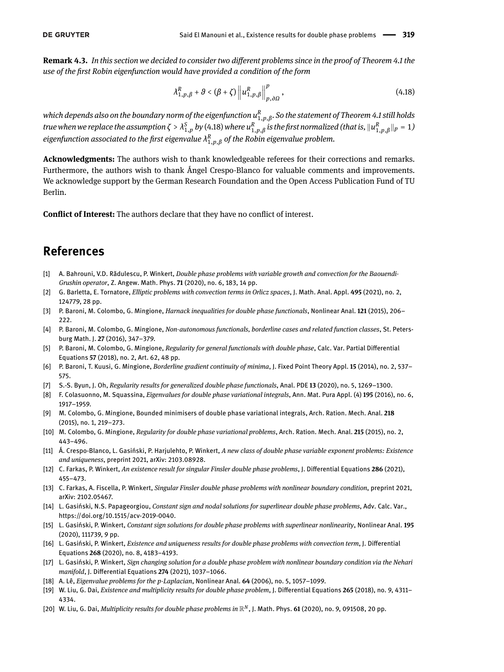**Remark 4.3.** *In this section we decided to consider two dierent problems since in the proof of Theorem [4.1](#page-10-0) the use of the rst Robin eigenfunction would have provided a condition of the form*

<span id="page-15-19"></span>
$$
\lambda_{1,p,\beta}^R + \vartheta < (\beta + \zeta) \left\| u_{1,p,\beta}^R \right\|_{p,\partial\Omega}^p, \tag{4.18}
$$

*which depends also on the boundary norm of the eigenfunction u R* 1,*p*,*β . So the statement of Theorem [4.1](#page-10-0) still holds* true when we replace the assumption  $\zeta>\lambda_{1,p}^S$  by [\(4.18\)](#page-15-19) where  $u_{1,p,\beta}^R$  is the first normalized (that is,  $\|u_{1,p,\beta}^R\|_p=1$ )  $e$ igenfunction associated to the first eigenvalue  $\lambda^R_{1,p,\beta}$  of the Robin eigenvalue problem.

**Acknowledgments:** The authors wish to thank knowledgeable referees for their corrections and remarks. Furthermore, the authors wish to thank Ángel Crespo-Blanco for valuable comments and improvements. We acknowledge support by the German Research Foundation and the Open Access Publication Fund of TU Berlin.

**Conflict of Interest:** The authors declare that they have no conflict of interest.

# **References**

- <span id="page-15-14"></span>[1] A. Bahrouni, V.D. Rădulescu, P. Winkert, *Double phase problems with variable growth and convection for the Baouendi-Grushin operator*, Z. Angew. Math. Phys. **71** (2020), no. 6, 183, 14 pp.
- <span id="page-15-15"></span>[2] G. Barletta, E. Tornatore, *Elliptic problems with convection terms in Orlicz spaces*, J. Math. Anal. Appl. **495** (2021), no. 2, 124779, 28 pp.
- <span id="page-15-0"></span>[3] P. Baroni, M. Colombo, G. Mingione, *Harnack inequalities for double phase functionals*, Nonlinear Anal. **121** (2015), 206– 222.
- [4] P. Baroni, M. Colombo, G. Mingione, *Non-autonomous functionals, borderline cases and related function classes*, St. Petersburg Math. J. **27** (2016), 347–379.
- <span id="page-15-1"></span>[5] P. Baroni, M. Colombo, G. Mingione, *Regularity for general functionals with double phase*, Calc. Var. Partial Differential Equations **57** (2018), no. 2, Art. 62, 48 pp.
- <span id="page-15-2"></span>[6] P. Baroni, T. Kuusi, G. Mingione, *Borderline gradient continuity of minima*, J. Fixed Point Theory Appl. **15** (2014), no. 2, 537– 575.
- <span id="page-15-3"></span>[7] S.-S. Byun, J. Oh, *Regularity results for generalized double phase functionals*, Anal. PDE **13** (2020), no. 5, 1269–1300.
- <span id="page-15-8"></span>[8] F. Colasuonno, M. Squassina, *Eigenvalues for double phase variational integrals*, Ann. Mat. Pura Appl. (4) **195** (2016), no. 6, 1917–1959.
- <span id="page-15-4"></span>[9] M. Colombo, G. Mingione, Bounded minimisers of double phase variational integrals, Arch. Ration. Mech. Anal. **218** (2015), no. 1, 219–273.
- <span id="page-15-5"></span>[10] M. Colombo, G. Mingione, *Regularity for double phase variational problems*, Arch. Ration. Mech. Anal. **215** (2015), no. 2, 443–496.
- <span id="page-15-17"></span>[11] Á. Crespo-Blanco, L. Gasiński, P. Harjulehto, P. Winkert, *A new class of double phase variable exponent problems: Existence and uniqueness*, preprint 2021, arXiv: 2103.08928.
- <span id="page-15-9"></span>[12] C. Farkas, P. Winkert, *An existence result for singular Finsler double phase problems*, J. Dierential Equations **286** (2021), 455–473.
- <span id="page-15-7"></span>[13] C. Farkas, A. Fiscella, P. Winkert, *Singular Finsler double phase problems with nonlinear boundary condition*, preprint 2021, arXiv: 2102.05467.
- <span id="page-15-10"></span>[14] L. Gasiński, N.S. Papageorgiou, *Constant sign and nodal solutions for superlinear double phase problems*, Adv. Calc. Var., https://doi.org/10.1515/acv-2019-0040.
- <span id="page-15-11"></span>[15] L. Gasiński, P. Winkert, *Constant sign solutions for double phase problems with superlinear nonlinearity*, Nonlinear Anal. **195** (2020), 111739, 9 pp.
- <span id="page-15-12"></span>[16] L. Gasiński, P. Winkert, *Existence and uniqueness results for double phase problems with convection term*, J. Differential Equations **268** (2020), no. 8, 4183–4193.
- <span id="page-15-6"></span>[17] L. Gasiński, P. Winkert, *Sign changing solution for a double phase problem with nonlinear boundary condition via the Nehari manifold*, J. Differential Equations 274 (2021), 1037-1066.
- <span id="page-15-18"></span>[18] A. Lê, *Eigenvalue problems for the p-Laplacian*, Nonlinear Anal. **64** (2006), no. 5, 1057–1099.
- <span id="page-15-13"></span>[19] W. Liu, G. Dai, *Existence and multiplicity results for double phase problem, J. Differential Equations 265 (2018), no. 9, 4311-*4334.
- <span id="page-15-16"></span>[20] W. Liu, G. Dai, *Multiplicity results for double phase problems in* R*N*, J. Math. Phys. **61** (2020), no. 9, 091508, 20 pp.